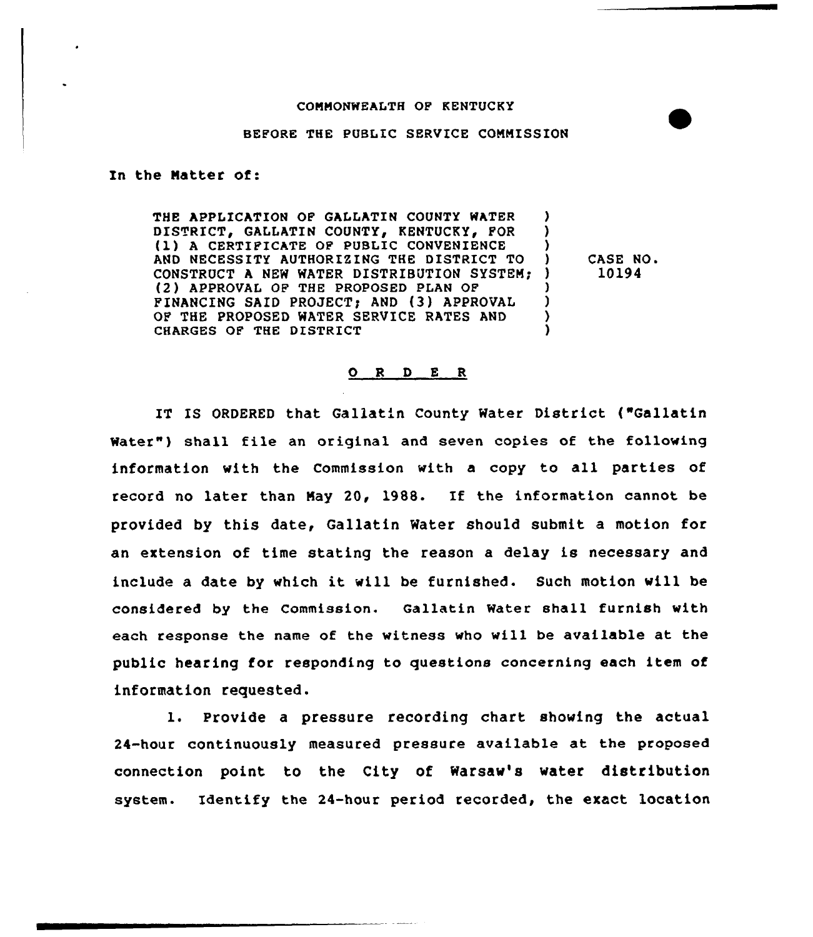## CONNONWEALTH OF KENTUCKY

## BEFORE THE PUBLIC SERVICE COMMISSION

Xn the Natter of:

THE APPLICATION OF GALLATIN COUNTY WATER ) DISTRICT, GALLATIN COUNTY, KENTUCKY, FOR (1) A CERTIFICATE OF PUBLIC CONVENIENCE ) ) AND NECESSITY AUTHORIZING THE DISTRICT TO CONSTRUCT A NEW WATER DISTRIBUTION SYSTEM; (2) APPROVAL OF THE PROPOSED PLAN OF ) FINANCING SAID PROJECT) AND (3) APPROVAL ) OF THE PROPOSED WATER SERVICE RATES AND Y CHARGES OF THE DISTRICT )

) CASE NO. ) 10l94

## 0 <sup>R</sup> <sup>D</sup> <sup>E</sup> <sup>R</sup>

IT IS ORDERED that Gallatin County Water District ("Gallatin Water") shall file an original and seven copies of the following information with the Commission with a copy to all parties of no later than May 20, 1988. If the information cannot be provided by this date, Gallatin Water should submit a motion for an extension of time stating the reason a delay is necessary and include a date by which it will be furnished. Such motion will be considered by the Commission. Qallatin Water shall furnish with each response the name of the witness vho will be available at the public hearing for responding to questions concerning each item of information requested.

l. Provide <sup>a</sup> pressure recording chart showing the actual 24-hour continuously measured pressure available at the proposed connection point to the City of Warsaw's vater distribution system. Identify the 24-hour period recorded, the exact location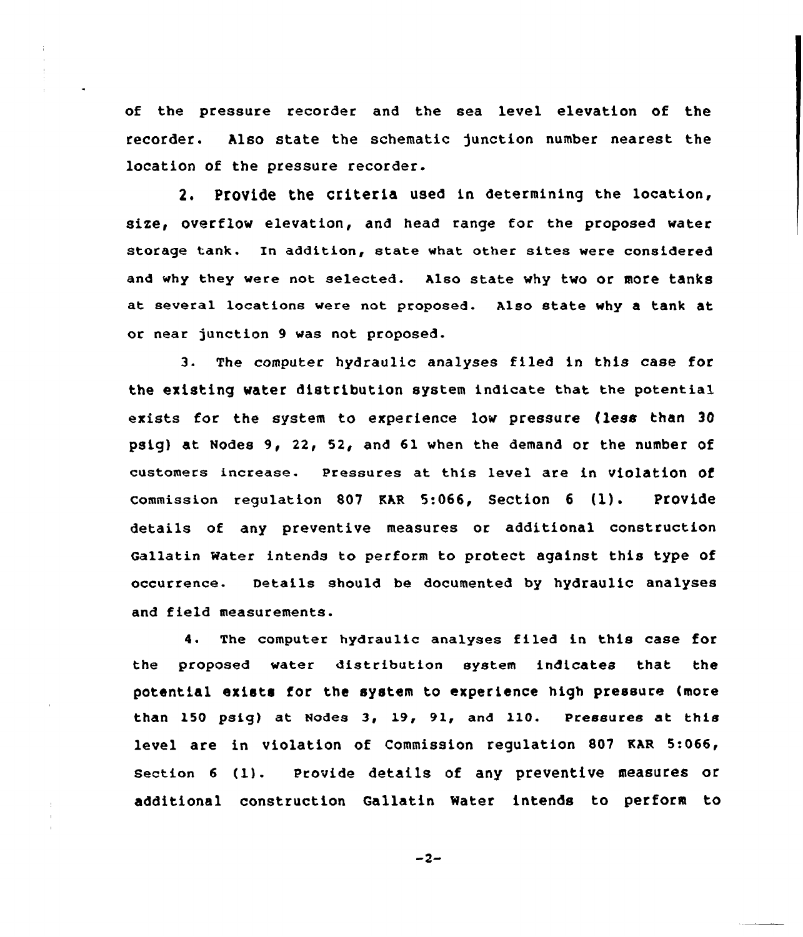of the pressure recorder and the sea level elevation of the recorder. Also state the schematic junction number nearest the location of the pressure recorder.

2. PtOVide the criteria used in determining the location, size, overflow elevation, and head range for the proposed water storage tank. In addition, state what other sites were considered and why they were not selected. Also state why two or more tanks at several locations were not proposed. Also state why a tank at or near junction 9 was not proposed.

3. The computer hydraulic analyses filed in this case for the existing water distribution system indicate that the potential exists for the system to experience Low pressure (Less than 30 psig) at Nodes 9, 22, 52, and 61 when the demand or the number of customers increase. Pressures at this level are in violation of commission regulation <sup>807</sup> EAR 5:066, Section <sup>6</sup> (l). Provide details of any preventive measures or additional construction Gallatin Water intends to perform to protect against this type of occurrence. Details should be documented by hydraulic analyses and field measurements.

4. The computer hydraulic analyses filed in this case for the proposed water distribution system indicates that the potential exists for the system to experience high pressure (more than 150 psig) at Nodes 3, 19, 91, and 110. Pressures at this level are in violation of Commission regulation 807 KAR 5:066, section <sup>6</sup> (1). Provide details of any preventive measures or additional construction Qallatin Water intends to perform to

 $-2-$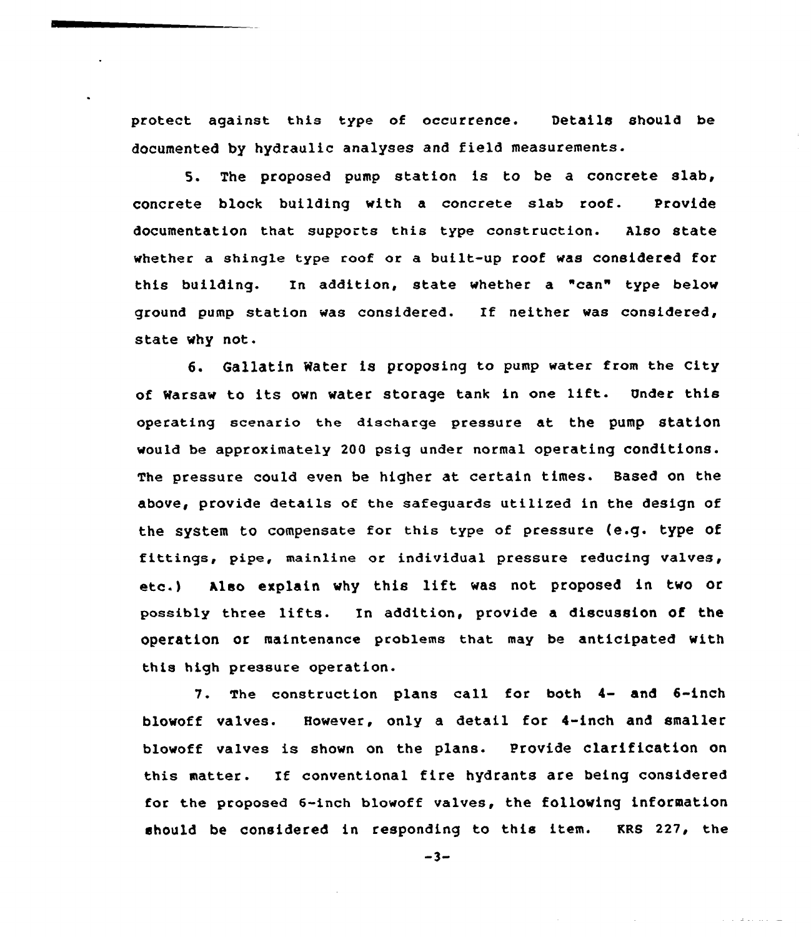protect against this type of occurrence. Details should be documented by hydraulic analyses and field measurements.

5. The proposed pump station is to be a concrete slab, concrete block building with a concrete slab roof. Provide documentation that supports this type construction. Also state whether a shingle type roof or a built-up roof was considered for this building. In addition, state whether a "can" type below ground pump station was considered. If neither was considered, state why not.

6. Gallatin Water is proposing to pump water from the City of Warsaw to its own water storage tank in one lift. Under this operating scenario the discharge pressure at the pump station would be approximately 200 psig under normal operating conditions. The pressure could even be higher at certain times. Based on the above, provide details of the safeguards utilized in the design of the system to compensate for this type of pressure (e.g. type of fittings, pipe, mainline or individual pressure reducing valves, etc.) Also explain why this lift was not proposed in two or possibly three lifts. In addition, provide <sup>a</sup> discussion Of the operation or maintenance problems that may be anticipated with this high pressure operation.

7. The construction plans call for both 4- and 6-inch blowoff valves. However, only a detail for 4-inch and smaller blowoff valves is shown on the plans. Provide clarification on this matter. If conventional fire hydrants are being considered for the proposed 6-inch blowoff valves, the following information should be considered in responding to this item. KRS 227, the

 $-3-$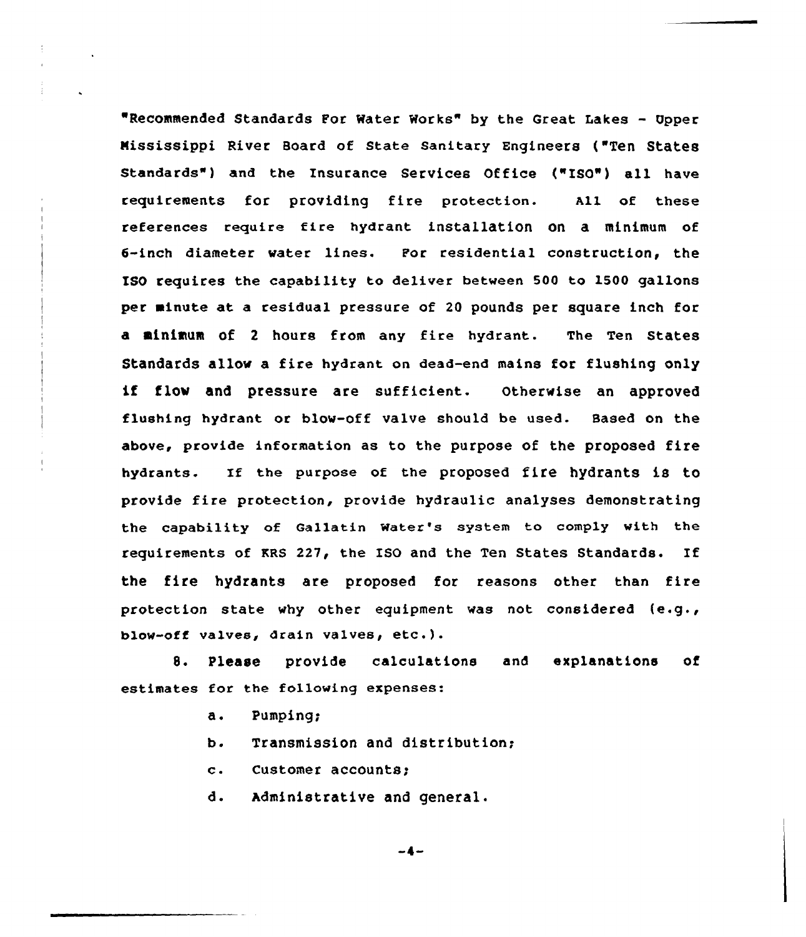"Recommended Standards For Water Works" by the Great Lakes — Upper Mississippi River Board of State Sanitary Engineers ("Ten States Standards" ) and the Insurance Services Office ("ISO") all have requirements for providing fire protection. All of these references reguire fire hydrant installation on a minimum of 6-inch diameter water lines. For residential construction, the ISO requires the capability to deliver between 500 to 1500 gallons per minute at a residual pressure of 20 pounds per square inch for a minimum of <sup>2</sup> hours from any fire hydrant. The Ten states Standards allow a fire hydrant on dead-end mains for flushing only if flow and pressure are sufficient. Otherwise an approved flushing hydrant or blow-off valve should be used. Based on the above, provide information as to the purpose of the proposed fire hydrants. If the purpose of the proposed fire hydrants is to provide fire protection, provide hydraulic analyses demonstrating the capability of callatin Water's system to comply with the requirements of KRS 227, the ISO and the Ten States Standards. If the fire hydrants are proposed for reasons other than fire protection state why other equipment was not considered {e.g., blow-off valves, drain valves, etc.).

8. Please provide calculations and explanations of estimates for the following expenses:

- a. Pumping.
- $b$ . Transmission and distribution;
- customer accounts;  $\mathbf{c}$ .

d. Administrative and general.